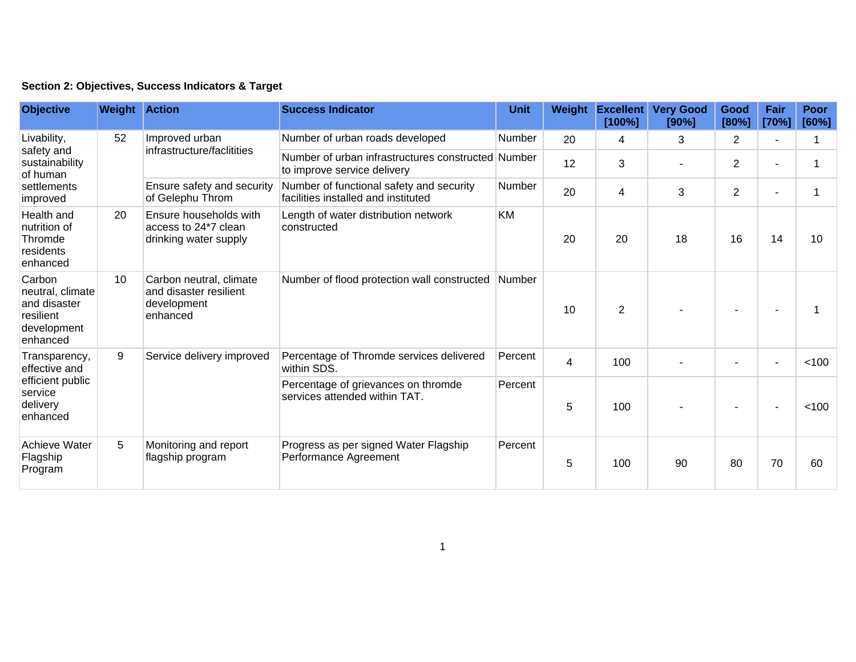|  | Section 2: Objectives, Success Indicators & Target |  |  |  |  |
|--|----------------------------------------------------|--|--|--|--|
|--|----------------------------------------------------|--|--|--|--|

| <b>Objective</b>                                                                      | <b>Weight Action</b> |                                                                              | <b>Success Indicator</b>                                                          | <b>Unit</b>   | Weight         | <b>Excellent</b><br>[100%] | <b>Very Good</b><br>[90%] | Good<br>[80%]  | Fair<br>[70%] | Poor<br>[60%] |
|---------------------------------------------------------------------------------------|----------------------|------------------------------------------------------------------------------|-----------------------------------------------------------------------------------|---------------|----------------|----------------------------|---------------------------|----------------|---------------|---------------|
| Livability,<br>safety and<br>sustainability<br>of human<br>settlements<br>improved    | 52                   | Improved urban<br>infrastructure/faclitities                                 | Number of urban roads developed                                                   | Number        | 20             | 4                          | 3                         | 2              |               |               |
|                                                                                       |                      |                                                                              | Number of urban infrastructures constructed Number<br>to improve service delivery |               | 12             | 3                          |                           | $\overline{2}$ |               |               |
|                                                                                       |                      | Ensure safety and security<br>of Gelephu Throm                               | Number of functional safety and security<br>facilities installed and instituted   | <b>Number</b> | 20             | 4                          | 3                         | $\overline{2}$ |               |               |
| Health and<br>nutrition of<br>Thromde<br>residents<br>enhanced                        | 20                   | Ensure households with<br>access to 24*7 clean<br>drinking water supply      | Length of water distribution network<br>constructed                               | KM            | 20             | 20                         | 18                        | 16             | 14            | 10            |
| Carbon<br>neutral, climate<br>and disaster<br>resilient<br>development<br>enhanced    | 10                   | Carbon neutral, climate<br>and disaster resilient<br>development<br>enhanced | Number of flood protection wall constructed                                       | <b>Number</b> | 10             | $\overline{2}$             |                           |                |               |               |
| Transparency,<br>effective and<br>efficient public<br>service<br>delivery<br>enhanced | 9                    | Service delivery improved                                                    | Percentage of Thromde services delivered<br>within SDS.                           | Percent       | $\overline{4}$ | 100                        |                           |                |               | < 100         |
|                                                                                       |                      |                                                                              | Percentage of grievances on thromde<br>services attended within TAT.              | Percent       | 5              | 100                        |                           |                |               | < 100         |
| <b>Achieve Water</b><br>Flagship<br>Program                                           | 5                    | Monitoring and report<br>flagship program                                    | Progress as per signed Water Flagship<br>Performance Agreement                    | Percent       | 5              | 100                        | 90                        | 80             | 70            | 60            |